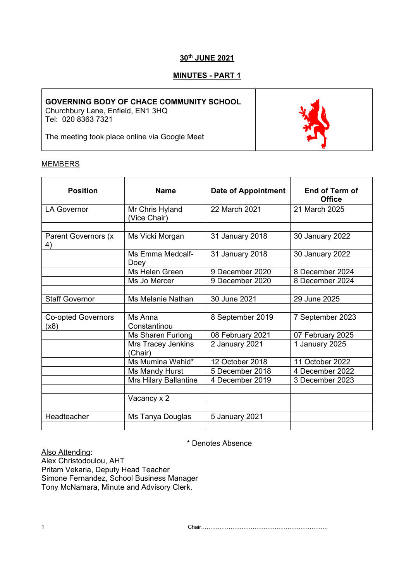# **30th JUNE 2021**

## **MINUTES - PART 1**

## **GOVERNING BODY OF CHACE COMMUNITY SCHOOL**

Churchbury Lane, Enfield, EN1 3HQ Tel: 020 8363 7321

The meeting took place online via Google Meet

#### **MEMBERS**

| <b>Position</b>                   | <b>Name</b>                     | <b>Date of Appointment</b> | End of Term of<br><b>Office</b> |
|-----------------------------------|---------------------------------|----------------------------|---------------------------------|
| LA Governor                       | Mr Chris Hyland<br>(Vice Chair) | 22 March 2021              | 21 March 2025                   |
|                                   |                                 |                            |                                 |
| Parent Governors (x<br>4)         | Ms Vicki Morgan                 | 31 January 2018            | 30 January 2022                 |
|                                   | Ms Emma Medcalf-<br>Doey        | 31 January 2018            | 30 January 2022                 |
|                                   | Ms Helen Green                  | 9 December 2020            | 8 December 2024                 |
|                                   | Ms Jo Mercer                    | 9 December 2020            | 8 December 2024                 |
|                                   |                                 |                            |                                 |
| <b>Staff Governor</b>             | Ms Melanie Nathan               | 30 June 2021               | 29 June 2025                    |
|                                   |                                 |                            |                                 |
| <b>Co-opted Governors</b><br>(x8) | Ms Anna<br>Constantinou         | 8 September 2019           | 7 September 2023                |
|                                   | Ms Sharen Furlong               | 08 February 2021           | 07 February 2025                |
|                                   | Mrs Tracey Jenkins<br>(Chair)   | 2 January 2021             | 1 January 2025                  |
|                                   | Ms Mumina Wahid*                | 12 October 2018            | 11 October 2022                 |
|                                   | Ms Mandy Hurst                  | 5 December 2018            | 4 December 2022                 |
|                                   | <b>Mrs Hilary Ballantine</b>    | 4 December 2019            | 3 December 2023                 |
|                                   |                                 |                            |                                 |
|                                   | Vacancy x 2                     |                            |                                 |
|                                   |                                 |                            |                                 |
| Headteacher                       | Ms Tanya Douglas                | 5 January 2021             |                                 |
|                                   |                                 |                            |                                 |

\* Denotes Absence

Also Attending: Alex Christodoulou, AHT Pritam Vekaria, Deputy Head Teacher Simone Fernandez, School Business Manager Tony McNamara, Minute and Advisory Clerk.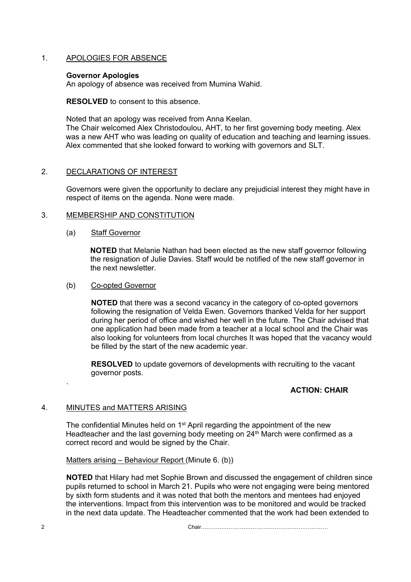## 1. APOLOGIES FOR ABSENCE

## **Governor Apologies**

An apology of absence was received from Mumina Wahid.

**RESOLVED** to consent to this absence.

Noted that an apology was received from Anna Keelan.

The Chair welcomed Alex Christodoulou, AHT, to her first governing body meeting. Alex was a new AHT who was leading on quality of education and teaching and learning issues. Alex commented that she looked forward to working with governors and SLT.

## 2. DECLARATIONS OF INTEREST

Governors were given the opportunity to declare any prejudicial interest they might have in respect of items on the agenda. None were made.

## 3. MEMBERSHIP AND CONSTITUTION

## (a) Staff Governor

**NOTED** that Melanie Nathan had been elected as the new staff governor following the resignation of Julie Davies. Staff would be notified of the new staff governor in the next newsletter.

## (b) Co-opted Governor

**NOTED** that there was a second vacancy in the category of co-opted governors following the resignation of Velda Ewen. Governors thanked Velda for her support during her period of office and wished her well in the future. The Chair advised that one application had been made from a teacher at a local school and the Chair was also looking for volunteers from local churches It was hoped that the vacancy would be filled by the start of the new academic year.

**RESOLVED** to update governors of developments with recruiting to the vacant governor posts.

## **ACTION: CHAIR**

## 4. MINUTES and MATTERS ARISING

.

The confidential Minutes held on 1<sup>st</sup> April regarding the appointment of the new Headteacher and the last governing body meeting on 24<sup>th</sup> March were confirmed as a correct record and would be signed by the Chair.

## Matters arising – Behaviour Report (Minute 6. (b))

**NOTED** that Hilary had met Sophie Brown and discussed the engagement of children since pupils returned to school in March 21. Pupils who were not engaging were being mentored by sixth form students and it was noted that both the mentors and mentees had enjoyed the interventions. Impact from this intervention was to be monitored and would be tracked in the next data update. The Headteacher commented that the work had been extended to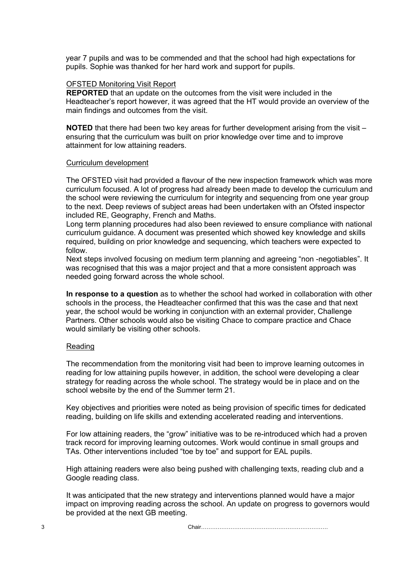year 7 pupils and was to be commended and that the school had high expectations for pupils. Sophie was thanked for her hard work and support for pupils.

#### OFSTED Monitoring Visit Report

**REPORTED** that an update on the outcomes from the visit were included in the Headteacher's report however, it was agreed that the HT would provide an overview of the main findings and outcomes from the visit.

**NOTED** that there had been two key areas for further development arising from the visit – ensuring that the curriculum was built on prior knowledge over time and to improve attainment for low attaining readers.

## Curriculum development

The OFSTED visit had provided a flavour of the new inspection framework which was more curriculum focused. A lot of progress had already been made to develop the curriculum and the school were reviewing the curriculum for integrity and sequencing from one year group to the next. Deep reviews of subject areas had been undertaken with an Ofsted inspector included RE, Geography, French and Maths.

Long term planning procedures had also been reviewed to ensure compliance with national curriculum guidance. A document was presented which showed key knowledge and skills required, building on prior knowledge and sequencing, which teachers were expected to follow.

Next steps involved focusing on medium term planning and agreeing "non -negotiables". It was recognised that this was a major project and that a more consistent approach was needed going forward across the whole school.

**In response to a question** as to whether the school had worked in collaboration with other schools in the process, the Headteacher confirmed that this was the case and that next year, the school would be working in conjunction with an external provider, Challenge Partners. Other schools would also be visiting Chace to compare practice and Chace would similarly be visiting other schools.

## Reading

The recommendation from the monitoring visit had been to improve learning outcomes in reading for low attaining pupils however, in addition, the school were developing a clear strategy for reading across the whole school. The strategy would be in place and on the school website by the end of the Summer term 21.

Key objectives and priorities were noted as being provision of specific times for dedicated reading, building on life skills and extending accelerated reading and interventions.

For low attaining readers, the "grow" initiative was to be re-introduced which had a proven track record for improving learning outcomes. Work would continue in small groups and TAs. Other interventions included "toe by toe" and support for EAL pupils.

High attaining readers were also being pushed with challenging texts, reading club and a Google reading class.

It was anticipated that the new strategy and interventions planned would have a major impact on improving reading across the school. An update on progress to governors would be provided at the next GB meeting.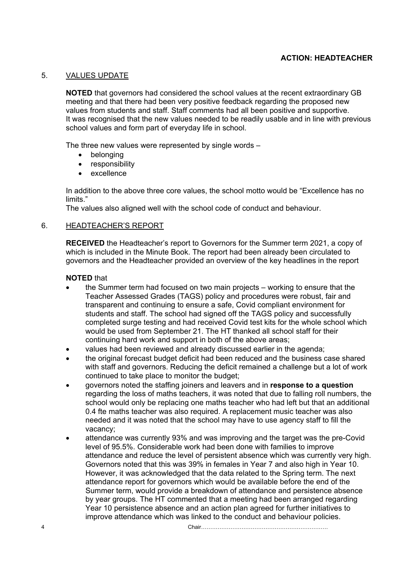## **ACTION: HEADTEACHER**

## 5. VALUES UPDATE

**NOTED** that governors had considered the school values at the recent extraordinary GB meeting and that there had been very positive feedback regarding the proposed new values from students and staff. Staff comments had all been positive and supportive. It was recognised that the new values needed to be readily usable and in line with previous school values and form part of everyday life in school.

The three new values were represented by single words –

- belonging
- responsibility
- excellence

In addition to the above three core values, the school motto would be "Excellence has no limits."

The values also aligned well with the school code of conduct and behaviour.

## 6. HEADTEACHER'S REPORT

**RECEIVED** the Headteacher's report to Governors for the Summer term 2021, a copy of which is included in the Minute Book. The report had been already been circulated to governors and the Headteacher provided an overview of the key headlines in the report

## **NOTED** that

- the Summer term had focused on two main projects working to ensure that the Teacher Assessed Grades (TAGS) policy and procedures were robust, fair and transparent and continuing to ensure a safe, Covid compliant environment for students and staff. The school had signed off the TAGS policy and successfully completed surge testing and had received Covid test kits for the whole school which would be used from September 21. The HT thanked all school staff for their continuing hard work and support in both of the above areas;
- values had been reviewed and already discussed earlier in the agenda;
- the original forecast budget deficit had been reduced and the business case shared with staff and governors. Reducing the deficit remained a challenge but a lot of work continued to take place to monitor the budget;
- governors noted the staffing joiners and leavers and in **response to a question** regarding the loss of maths teachers, it was noted that due to falling roll numbers, the school would only be replacing one maths teacher who had left but that an additional 0.4 fte maths teacher was also required. A replacement music teacher was also needed and it was noted that the school may have to use agency staff to fill the vacancy;
- attendance was currently 93% and was improving and the target was the pre-Covid level of 95.5%. Considerable work had been done with families to improve attendance and reduce the level of persistent absence which was currently very high. Governors noted that this was 39% in females in Year 7 and also high in Year 10. However, it was acknowledged that the data related to the Spring term. The next attendance report for governors which would be available before the end of the Summer term, would provide a breakdown of attendance and persistence absence by year groups. The HT commented that a meeting had been arranged regarding Year 10 persistence absence and an action plan agreed for further initiatives to improve attendance which was linked to the conduct and behaviour policies.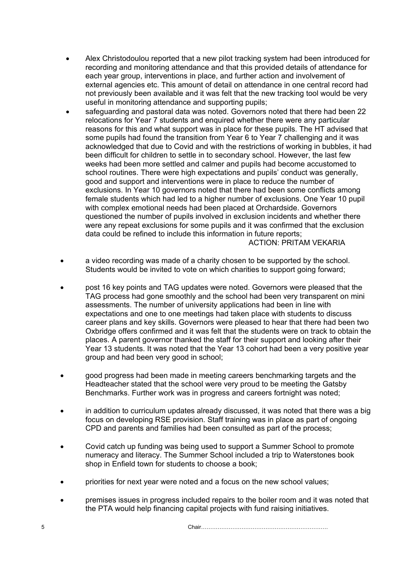- Alex Christodoulou reported that a new pilot tracking system had been introduced for recording and monitoring attendance and that this provided details of attendance for each year group, interventions in place, and further action and involvement of external agencies etc. This amount of detail on attendance in one central record had not previously been available and it was felt that the new tracking tool would be very useful in monitoring attendance and supporting pupils;
- safeguarding and pastoral data was noted. Governors noted that there had been 22 relocations for Year 7 students and enquired whether there were any particular reasons for this and what support was in place for these pupils. The HT advised that some pupils had found the transition from Year 6 to Year 7 challenging and it was acknowledged that due to Covid and with the restrictions of working in bubbles, it had been difficult for children to settle in to secondary school. However, the last few weeks had been more settled and calmer and pupils had become accustomed to school routines. There were high expectations and pupils' conduct was generally. good and support and interventions were in place to reduce the number of exclusions. In Year 10 governors noted that there had been some conflicts among female students which had led to a higher number of exclusions. One Year 10 pupil with complex emotional needs had been placed at Orchardside. Governors questioned the number of pupils involved in exclusion incidents and whether there were any repeat exclusions for some pupils and it was confirmed that the exclusion data could be refined to include this information in future reports;

ACTION: PRITAM VEKARIA

- a video recording was made of a charity chosen to be supported by the school. Students would be invited to vote on which charities to support going forward;
- post 16 key points and TAG updates were noted. Governors were pleased that the TAG process had gone smoothly and the school had been very transparent on mini assessments. The number of university applications had been in line with expectations and one to one meetings had taken place with students to discuss career plans and key skills. Governors were pleased to hear that there had been two Oxbridge offers confirmed and it was felt that the students were on track to obtain the places. A parent governor thanked the staff for their support and looking after their Year 13 students. It was noted that the Year 13 cohort had been a very positive year group and had been very good in school;
- good progress had been made in meeting careers benchmarking targets and the Headteacher stated that the school were very proud to be meeting the Gatsby Benchmarks. Further work was in progress and careers fortnight was noted;
- in addition to curriculum updates already discussed, it was noted that there was a big focus on developing RSE provision. Staff training was in place as part of ongoing CPD and parents and families had been consulted as part of the process;
- Covid catch up funding was being used to support a Summer School to promote numeracy and literacy. The Summer School included a trip to Waterstones book shop in Enfield town for students to choose a book;
- priorities for next year were noted and a focus on the new school values;
- premises issues in progress included repairs to the boiler room and it was noted that the PTA would help financing capital projects with fund raising initiatives.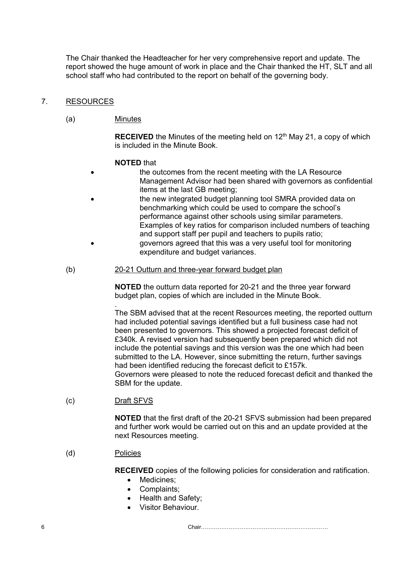The Chair thanked the Headteacher for her very comprehensive report and update. The report showed the huge amount of work in place and the Chair thanked the HT, SLT and all school staff who had contributed to the report on behalf of the governing body.

## 7. RESOURCES

## (a) Minutes

**RECEIVED** the Minutes of the meeting held on 12<sup>th</sup> May 21, a copy of which is included in the Minute Book.

## **NOTED** that

- the outcomes from the recent meeting with the LA Resource Management Advisor had been shared with governors as confidential items at the last GB meeting;
- the new integrated budget planning tool SMRA provided data on benchmarking which could be used to compare the school's performance against other schools using similar parameters. Examples of key ratios for comparison included numbers of teaching and support staff per pupil and teachers to pupils ratio; • governors agreed that this was a very useful tool for monitoring expenditure and budget variances.
- (b) 20-21 Outturn and three-year forward budget plan

**NOTED** the outturn data reported for 20-21 and the three year forward budget plan, copies of which are included in the Minute Book.

. The SBM advised that at the recent Resources meeting, the reported outturn had included potential savings identified but a full business case had not been presented to governors. This showed a projected forecast deficit of £340k. A revised version had subsequently been prepared which did not include the potential savings and this version was the one which had been submitted to the LA. However, since submitting the return, further savings had been identified reducing the forecast deficit to £157k. Governors were pleased to note the reduced forecast deficit and thanked the SBM for the update.

(c) Draft SFVS

**NOTED** that the first draft of the 20-21 SFVS submission had been prepared and further work would be carried out on this and an update provided at the next Resources meeting.

## (d) Policies

**RECEIVED** copies of the following policies for consideration and ratification.

- Medicines;
- Complaints;
- Health and Safety;
- Visitor Behaviour.